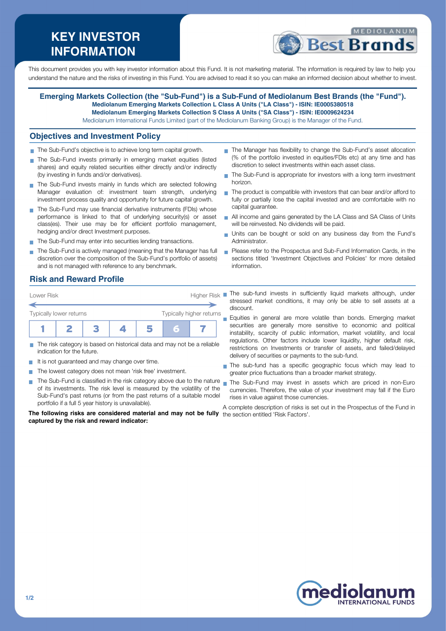# **KEY INVESTOR INFORMATION**



This document provides you with key investor information about this Fund. It is not marketing material. The information is required by law to help you understand the nature and the risks of investing in this Fund. You are advised to read it so you can make an informed decision about whether to invest.

#### **Emerging Markets Collection (the "Sub-Fund") is a Sub-Fund of Mediolanum Best Brands (the "Fund"). Mediolanum Emerging Markets Collection L Class A Units ("LA Class") - ISIN: IE0005380518 Mediolanum Emerging Markets Collection S Class A Units ("SA Class") - ISIN: IE0009624234**

Mediolanum International Funds Limited (part of the Mediolanum Banking Group) is the Manager of the Fund.

#### **Objectives and Investment Policy**

- The Sub-Fund's objective is to achieve long term capital growth.
- The Sub-Fund invests primarily in emerging market equities (listed shares) and equity related securities either directly and/or indirectly (by investing in funds and/or derivatives).
- The Sub-Fund invests mainly in funds which are selected following Manager evaluation of: investment team strength, underlying investment process quality and opportunity for future capital growth.
- The Sub-Fund may use financial derivative instruments (FDIs) whose performance is linked to that of underlying security(s) or asset class(es). Their use may be for efficient portfolio management, hedging and/or direct Investment purposes.
- The Sub-Fund may enter into securities lending transactions.
- The Sub-Fund is actively managed (meaning that the Manager has full discretion over the composition of the Sub-Fund's portfolio of assets) and is not managed with reference to any benchmark.
- The Manager has flexibility to change the Sub-Fund's asset allocation (% of the portfolio invested in equities/FDIs etc) at any time and has discretion to select investments within each asset class.
- The Sub-Fund is appropriate for investors with a long term investment horizon.
- The product is compatible with investors that can bear and/or afford to fully or partially lose the capital invested and are comfortable with no capital guarantee.
- All income and gains generated by the LA Class and SA Class of Units will be reinvested. No dividends will be paid.
- Units can be bought or sold on any business day from the Fund's Administrator.
- **Please refer to the Prospectus and Sub-Fund Information Cards, in the** sections titled 'Investment Objectives and Policies' for more detailed information.

## **Risk and Reward Profile**

| Lower Risk                                                 |  |  | Higher Risk |  |  |  |  |
|------------------------------------------------------------|--|--|-------------|--|--|--|--|
| Typically higher returns<br><b>Typically lower returns</b> |  |  |             |  |  |  |  |
|                                                            |  |  |             |  |  |  |  |

- The risk category is based on historical data and may not be a reliable indication for the future.
- It is not guaranteed and may change over time.
- $\sim$ The lowest category does not mean 'risk free' investment.
- $\blacksquare$  The Sub-Fund is classified in the risk category above due to the nature  $\blacksquare$ of its investments. The risk level is measured by the volatility of the Sub-Fund's past returns (or from the past returns of a suitable model portfolio if a full 5 year history is unavailable).

**The following risks are considered material and may not be fully** the section entitled 'Risk Factors'.**captured by the risk and reward indicator:**

The sub-fund invests in sufficiently liquid markets although, under stressed market conditions, it may only be able to sell assets at a discount.

Equities in general are more volatile than bonds. Emerging market securities are generally more sensitive to economic and political instability, scarcity of public information, market volatility, and local regulations. Other factors include lower liquidity, higher default risk, restrictions on Investments or transfer of assets, and failed/delayed delivery of securities or payments to the sub-fund.

- The sub-fund has a specific geographic focus which may lead to greater price fluctuations than a broader market strategy.
- The Sub-Fund may invest in assets which are priced in non-Euro currencies. Therefore, the value of your investment may fall if the Euro rises in value against those currencies.

A complete description of risks is set out in the Prospectus of the Fund in